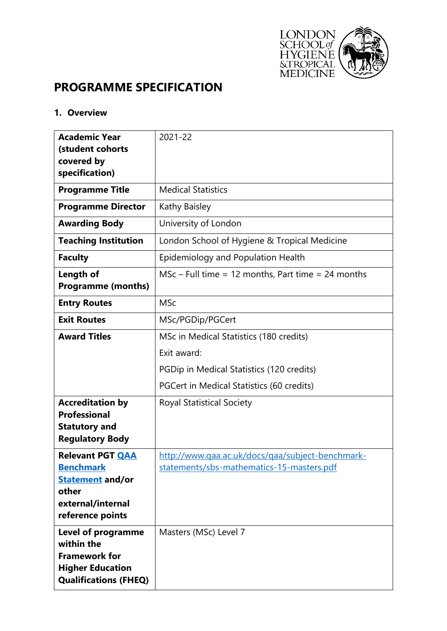

# **PROGRAMME SPECIFICATION**

### **1. Overview**

| <b>Academic Year</b>                        | 2021-22                                              |  |  |  |
|---------------------------------------------|------------------------------------------------------|--|--|--|
| (student cohorts<br>covered by              |                                                      |  |  |  |
| specification)                              |                                                      |  |  |  |
| <b>Programme Title</b>                      | <b>Medical Statistics</b>                            |  |  |  |
| <b>Programme Director</b>                   | Kathy Baisley                                        |  |  |  |
| <b>Awarding Body</b>                        | University of London                                 |  |  |  |
| <b>Teaching Institution</b>                 | London School of Hygiene & Tropical Medicine         |  |  |  |
| <b>Faculty</b>                              | Epidemiology and Population Health                   |  |  |  |
| Length of<br><b>Programme (months)</b>      | $MSc$ – Full time = 12 months, Part time = 24 months |  |  |  |
| <b>Entry Routes</b>                         | <b>MSc</b>                                           |  |  |  |
| <b>Exit Routes</b>                          | MSc/PGDip/PGCert                                     |  |  |  |
| <b>Award Titles</b>                         | MSc in Medical Statistics (180 credits)              |  |  |  |
|                                             | Exit award:                                          |  |  |  |
|                                             | PGDip in Medical Statistics (120 credits)            |  |  |  |
|                                             | PGCert in Medical Statistics (60 credits)            |  |  |  |
| <b>Accreditation by</b>                     | <b>Royal Statistical Society</b>                     |  |  |  |
| <b>Professional</b><br><b>Statutory and</b> |                                                      |  |  |  |
| <b>Regulatory Body</b>                      |                                                      |  |  |  |
| <b>Relevant PGT QAA</b>                     | http://www.qaa.ac.uk/docs/qaa/subject-benchmark-     |  |  |  |
| <b>Benchmark</b>                            | <u>statements/sbs-mathematics-15-masters.pdf</u>     |  |  |  |
| <b>Statement and/or</b><br>other            |                                                      |  |  |  |
| external/internal                           |                                                      |  |  |  |
| reference points                            |                                                      |  |  |  |
| <b>Level of programme</b><br>within the     | Masters (MSc) Level 7                                |  |  |  |
| <b>Framework for</b>                        |                                                      |  |  |  |
| <b>Higher Education</b>                     |                                                      |  |  |  |
| <b>Qualifications (FHEQ)</b>                |                                                      |  |  |  |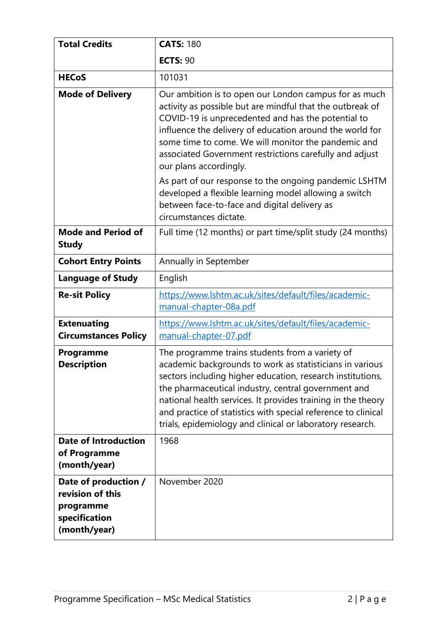| <b>Total Credits</b>                                                                   | <b>CATS: 180</b>                                                                                                                                                                                                                                                                                                                                                                                                               |  |
|----------------------------------------------------------------------------------------|--------------------------------------------------------------------------------------------------------------------------------------------------------------------------------------------------------------------------------------------------------------------------------------------------------------------------------------------------------------------------------------------------------------------------------|--|
|                                                                                        | <b>ECTS: 90</b>                                                                                                                                                                                                                                                                                                                                                                                                                |  |
| <b>HECoS</b>                                                                           | 101031                                                                                                                                                                                                                                                                                                                                                                                                                         |  |
| <b>Mode of Delivery</b>                                                                | Our ambition is to open our London campus for as much<br>activity as possible but are mindful that the outbreak of<br>COVID-19 is unprecedented and has the potential to<br>influence the delivery of education around the world for<br>some time to come. We will monitor the pandemic and<br>associated Government restrictions carefully and adjust<br>our plans accordingly.                                               |  |
|                                                                                        | As part of our response to the ongoing pandemic LSHTM<br>developed a flexible learning model allowing a switch<br>between face-to-face and digital delivery as<br>circumstances dictate.                                                                                                                                                                                                                                       |  |
| <b>Mode and Period of</b><br><b>Study</b>                                              | Full time (12 months) or part time/split study (24 months)                                                                                                                                                                                                                                                                                                                                                                     |  |
| <b>Cohort Entry Points</b>                                                             | Annually in September                                                                                                                                                                                                                                                                                                                                                                                                          |  |
| <b>Language of Study</b>                                                               | English                                                                                                                                                                                                                                                                                                                                                                                                                        |  |
| <b>Re-sit Policy</b>                                                                   | https://www.lshtm.ac.uk/sites/default/files/academic-<br>manual-chapter-08a.pdf                                                                                                                                                                                                                                                                                                                                                |  |
| <b>Extenuating</b><br><b>Circumstances Policy</b>                                      | https://www.lshtm.ac.uk/sites/default/files/academic-<br>manual-chapter-07.pdf                                                                                                                                                                                                                                                                                                                                                 |  |
| Programme<br><b>Description</b>                                                        | The programme trains students from a variety of<br>academic backgrounds to work as statisticians in various<br>sectors including higher education, research institutions,<br>the pharmaceutical industry, central government and<br>national health services. It provides training in the theory<br>and practice of statistics with special reference to clinical<br>trials, epidemiology and clinical or laboratory research. |  |
| <b>Date of Introduction</b><br>of Programme<br>(month/year)                            | 1968                                                                                                                                                                                                                                                                                                                                                                                                                           |  |
| Date of production /<br>revision of this<br>programme<br>specification<br>(month/year) | November 2020                                                                                                                                                                                                                                                                                                                                                                                                                  |  |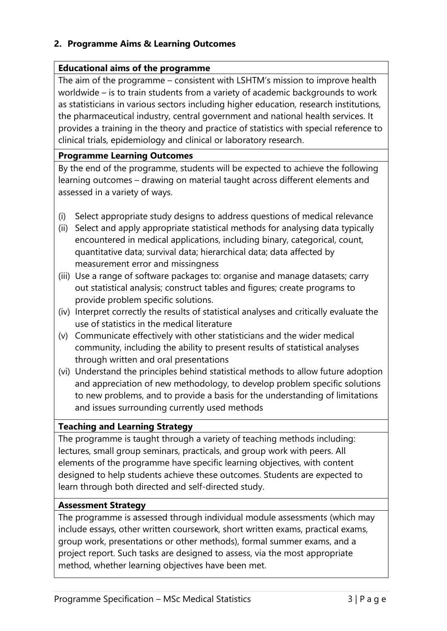## **2. Programme Aims & Learning Outcomes**

### **Educational aims of the programme**

The aim of the programme – consistent with LSHTM's mission to improve health worldwide – is to train students from a variety of academic backgrounds to work as statisticians in various sectors including higher education, research institutions, the pharmaceutical industry, central government and national health services. It provides a training in the theory and practice of statistics with special reference to clinical trials, epidemiology and clinical or laboratory research.

### **Programme Learning Outcomes**

By the end of the programme, students will be expected to achieve the following learning outcomes – drawing on material taught across different elements and assessed in a variety of ways.

- (i) Select appropriate study designs to address questions of medical relevance
- (ii) Select and apply appropriate statistical methods for analysing data typically encountered in medical applications, including binary, categorical, count, quantitative data; survival data; hierarchical data; data affected by measurement error and missingness
- (iii) Use a range of software packages to: organise and manage datasets; carry out statistical analysis; construct tables and figures; create programs to provide problem specific solutions.
- (iv) Interpret correctly the results of statistical analyses and critically evaluate the use of statistics in the medical literature
- (v) Communicate effectively with other statisticians and the wider medical community, including the ability to present results of statistical analyses through written and oral presentations
- (vi) Understand the principles behind statistical methods to allow future adoption and appreciation of new methodology, to develop problem specific solutions to new problems, and to provide a basis for the understanding of limitations and issues surrounding currently used methods

### **Teaching and Learning Strategy**

The programme is taught through a variety of teaching methods including: lectures, small group seminars, practicals, and group work with peers. All elements of the programme have specific learning objectives, with content designed to help students achieve these outcomes. Students are expected to learn through both directed and self-directed study.

### **Assessment Strategy**

The programme is assessed through individual module assessments (which may include essays, other written coursework, short written exams, practical exams, group work, presentations or other methods), formal summer exams, and a project report. Such tasks are designed to assess, via the most appropriate method, whether learning objectives have been met.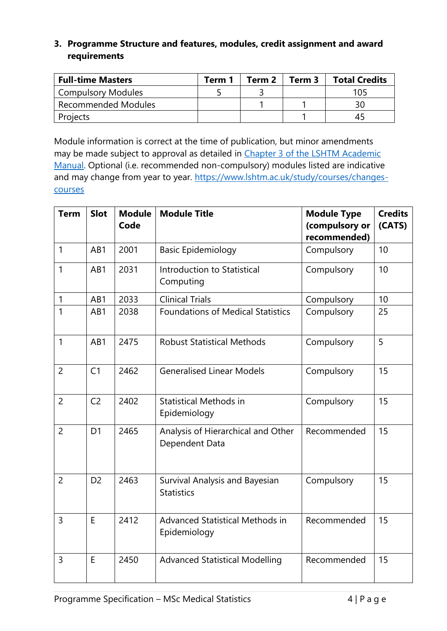## **3. Programme Structure and features, modules, credit assignment and award requirements**

| <b>Full-time Masters</b>   | Term 1 | Term 2 | Term 3 | <b>Total Credits</b> |
|----------------------------|--------|--------|--------|----------------------|
| <b>Compulsory Modules</b>  |        |        |        | 105                  |
| <b>Recommended Modules</b> |        |        |        | 30                   |
| Projects                   |        |        |        |                      |

Module information is correct at the time of publication, but minor amendments may be made subject to approval as detailed in [Chapter 3 of the LSHTM Academic](https://www.lshtm.ac.uk/sites/default/files/academic-manual-chapter-03.pdf)  [Manual.](https://www.lshtm.ac.uk/sites/default/files/academic-manual-chapter-03.pdf) Optional (i.e. recommended non-compulsory) modules listed are indicative and may change from year to year. [https://www.lshtm.ac.uk/study/courses/changes](https://www.lshtm.ac.uk/study/courses/changes-courses)[courses](https://www.lshtm.ac.uk/study/courses/changes-courses)

| <b>Term</b>    | <b>Slot</b>    | <b>Module</b><br>Code | <b>Module Title</b>                                  | <b>Module Type</b><br>(compulsory or<br>recommended) | <b>Credits</b><br>(CATS) |
|----------------|----------------|-----------------------|------------------------------------------------------|------------------------------------------------------|--------------------------|
| $\mathbf{1}$   | AB1            | 2001                  | <b>Basic Epidemiology</b>                            | Compulsory                                           | 10                       |
| $\mathbf{1}$   | AB1            | 2031                  | Introduction to Statistical<br>Computing             | Compulsory                                           | 10                       |
| $\mathbf{1}$   | AB1            | 2033                  | <b>Clinical Trials</b>                               | Compulsory                                           | 10                       |
| 1              | AB1            | 2038                  | <b>Foundations of Medical Statistics</b>             | Compulsory                                           | 25                       |
| $\mathbf{1}$   | AB1            | 2475                  | <b>Robust Statistical Methods</b>                    | Compulsory                                           | 5                        |
| $\overline{2}$ | C <sub>1</sub> | 2462                  | <b>Generalised Linear Models</b>                     | Compulsory                                           | 15                       |
| $\overline{2}$ | C <sub>2</sub> | 2402                  | <b>Statistical Methods in</b><br>Epidemiology        | Compulsory                                           | 15                       |
| $\overline{2}$ | D <sub>1</sub> | 2465                  | Analysis of Hierarchical and Other<br>Dependent Data | Recommended                                          | 15                       |
| $\overline{2}$ | D <sub>2</sub> | 2463                  | Survival Analysis and Bayesian<br><b>Statistics</b>  | Compulsory                                           | 15                       |
| $\overline{3}$ | E              | 2412                  | Advanced Statistical Methods in<br>Epidemiology      | Recommended                                          | 15                       |
| $\overline{3}$ | E              | 2450                  | <b>Advanced Statistical Modelling</b>                | Recommended                                          | 15                       |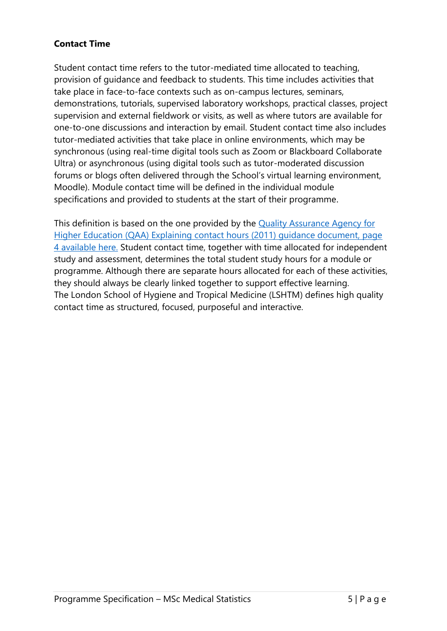# **Contact Time**

Student contact time refers to the tutor-mediated time allocated to teaching, provision of guidance and feedback to students. This time includes activities that take place in face-to-face contexts such as on-campus lectures, seminars, demonstrations, tutorials, supervised laboratory workshops, practical classes, project supervision and external fieldwork or visits, as well as where tutors are available for one-to-one discussions and interaction by email. Student contact time also includes tutor-mediated activities that take place in online environments, which may be synchronous (using real-time digital tools such as Zoom or Blackboard Collaborate Ultra) or asynchronous (using digital tools such as tutor-moderated discussion forums or blogs often delivered through the School's virtual learning environment, Moodle). Module contact time will be defined in the individual module specifications and provided to students at the start of their programme.

This definition is based on the one provided by the [Quality Assurance Agency for](https://www.qaa.ac.uk/docs/qaa/quality-code/contact-hours-guidance.pdf)  [Higher Education \(QAA\) Explaining contact hours \(2011\) guidance document, page](https://www.qaa.ac.uk/docs/qaa/quality-code/contact-hours-guidance.pdf)  [4 available here.](https://www.qaa.ac.uk/docs/qaa/quality-code/contact-hours-guidance.pdf) Student contact time, together with time allocated for independent study and assessment, determines the total student study hours for a module or programme. Although there are separate hours allocated for each of these activities, they should always be clearly linked together to support effective learning. The London School of Hygiene and Tropical Medicine (LSHTM) defines high quality contact time as structured, focused, purposeful and interactive.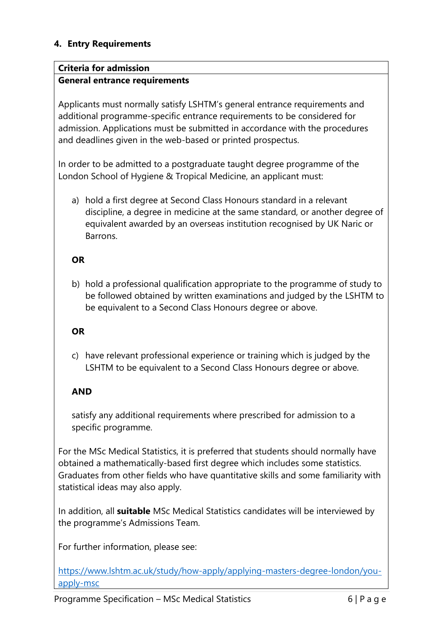## **4. Entry Requirements**

### **Criteria for admission**

### **General entrance requirements**

Applicants must normally satisfy LSHTM's general entrance requirements and additional programme-specific entrance requirements to be considered for admission. Applications must be submitted in accordance with the procedures and deadlines given in the web-based or printed prospectus.

In order to be admitted to a postgraduate taught degree programme of the London School of Hygiene & Tropical Medicine, an applicant must:

a) hold a first degree at Second Class Honours standard in a relevant discipline, a degree in medicine at the same standard, or another degree of equivalent awarded by an overseas institution recognised by UK Naric or Barrons.

### **OR**

b) hold a professional qualification appropriate to the programme of study to be followed obtained by written examinations and judged by the LSHTM to be equivalent to a Second Class Honours degree or above.

### **OR**

c) have relevant professional experience or training which is judged by the LSHTM to be equivalent to a Second Class Honours degree or above.

### **AND**

satisfy any additional requirements where prescribed for admission to a specific programme.

For the MSc Medical Statistics, it is preferred that students should normally have obtained a mathematically-based first degree which includes some statistics. Graduates from other fields who have quantitative skills and some familiarity with statistical ideas may also apply.

In addition, all **suitable** MSc Medical Statistics candidates will be interviewed by the programme's Admissions Team.

For further information, please see:

[https://www.lshtm.ac.uk/study/how-apply/applying-masters-degree-london/you](https://www.lshtm.ac.uk/study/how-apply/applying-masters-degree-london/you-apply-msc)[apply-msc](https://www.lshtm.ac.uk/study/how-apply/applying-masters-degree-london/you-apply-msc)

Programme Specification – MSc Medical Statistics 6 | P a g e